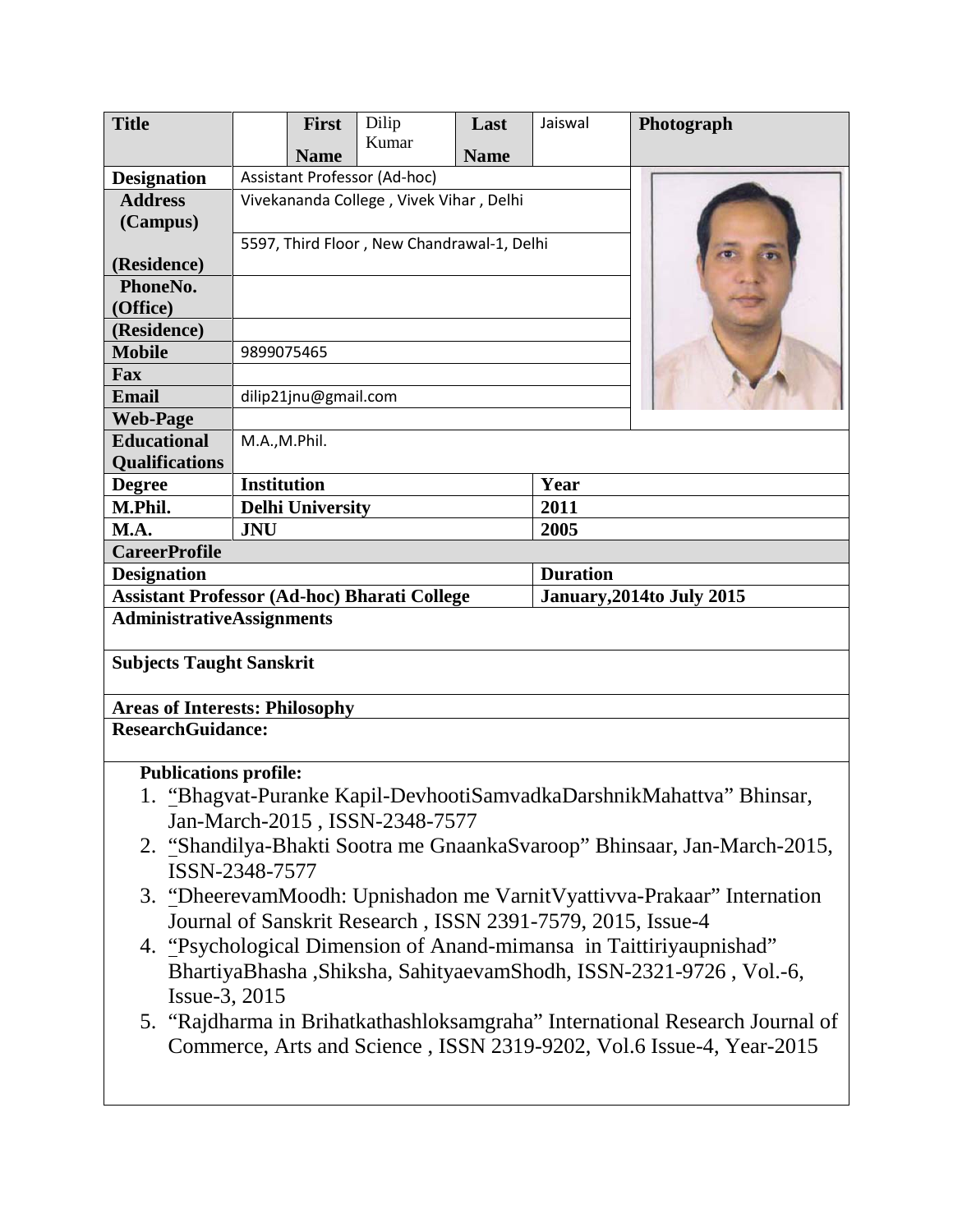| <b>Title</b>                                        |                                            | <b>First</b> | Dilip                                                       | Last        | Jaiswal         | Photograph                                                                                                                                           |  |  |  |
|-----------------------------------------------------|--------------------------------------------|--------------|-------------------------------------------------------------|-------------|-----------------|------------------------------------------------------------------------------------------------------------------------------------------------------|--|--|--|
|                                                     |                                            | <b>Name</b>  | Kumar                                                       | <b>Name</b> |                 |                                                                                                                                                      |  |  |  |
| <b>Designation</b>                                  |                                            |              | Assistant Professor (Ad-hoc)                                |             |                 |                                                                                                                                                      |  |  |  |
| <b>Address</b>                                      | Vivekananda College, Vivek Vihar, Delhi    |              |                                                             |             |                 |                                                                                                                                                      |  |  |  |
| (Campus)                                            |                                            |              |                                                             |             |                 |                                                                                                                                                      |  |  |  |
|                                                     | 5597, Third Floor, New Chandrawal-1, Delhi |              |                                                             |             |                 |                                                                                                                                                      |  |  |  |
| (Residence)                                         |                                            |              |                                                             |             |                 |                                                                                                                                                      |  |  |  |
| PhoneNo.                                            |                                            |              |                                                             |             |                 |                                                                                                                                                      |  |  |  |
| (Office)                                            |                                            |              |                                                             |             |                 |                                                                                                                                                      |  |  |  |
| (Residence)                                         |                                            |              |                                                             |             |                 |                                                                                                                                                      |  |  |  |
| <b>Mobile</b>                                       | 9899075465                                 |              |                                                             |             |                 |                                                                                                                                                      |  |  |  |
| Fax                                                 |                                            |              |                                                             |             |                 |                                                                                                                                                      |  |  |  |
| <b>Email</b>                                        | dilip21jnu@gmail.com                       |              |                                                             |             |                 |                                                                                                                                                      |  |  |  |
| <b>Web-Page</b>                                     |                                            |              |                                                             |             |                 |                                                                                                                                                      |  |  |  |
| <b>Educational</b>                                  | M.A.,M.Phil.                               |              |                                                             |             |                 |                                                                                                                                                      |  |  |  |
| <b>Qualifications</b><br><b>Degree</b>              | <b>Institution</b>                         |              |                                                             |             | Year            |                                                                                                                                                      |  |  |  |
| M.Phil.                                             | <b>Delhi University</b>                    |              |                                                             |             | 2011            |                                                                                                                                                      |  |  |  |
| M.A.                                                | <b>JNU</b>                                 |              |                                                             |             | 2005            |                                                                                                                                                      |  |  |  |
| <b>CareerProfile</b>                                |                                            |              |                                                             |             |                 |                                                                                                                                                      |  |  |  |
| <b>Designation</b>                                  |                                            |              |                                                             |             | <b>Duration</b> |                                                                                                                                                      |  |  |  |
| <b>Assistant Professor (Ad-hoc) Bharati College</b> |                                            |              |                                                             |             |                 | <b>January, 2014to July 2015</b>                                                                                                                     |  |  |  |
| <b>AdministrativeAssignments</b>                    |                                            |              |                                                             |             |                 |                                                                                                                                                      |  |  |  |
| <b>Subjects Taught Sanskrit</b>                     |                                            |              |                                                             |             |                 |                                                                                                                                                      |  |  |  |
|                                                     |                                            |              | <b>Areas of Interests: Philosophy</b>                       |             |                 |                                                                                                                                                      |  |  |  |
|                                                     |                                            |              |                                                             |             |                 |                                                                                                                                                      |  |  |  |
| <b>ResearchGuidance:</b>                            |                                            |              |                                                             |             |                 |                                                                                                                                                      |  |  |  |
| <b>Publications profile:</b>                        |                                            |              |                                                             |             |                 |                                                                                                                                                      |  |  |  |
|                                                     |                                            |              |                                                             |             |                 | "Bhagvat-Puranke Kapil-DevhootiSamvadkaDarshnikMahattva" Bhinsar,                                                                                    |  |  |  |
|                                                     |                                            |              | Jan-March-2015, ISSN-2348-7577                              |             |                 |                                                                                                                                                      |  |  |  |
|                                                     | ISSN-2348-7577                             |              |                                                             |             |                 | 2. "Shandilya-Bhakti Sootra me GnaankaSvaroop" Bhinsaar, Jan-March-2015,                                                                             |  |  |  |
|                                                     |                                            |              |                                                             |             |                 |                                                                                                                                                      |  |  |  |
|                                                     |                                            |              |                                                             |             |                 | 3. "DheerevamMoodh: Upnishadon me Varnit Vyattivva-Prakaar" Internation                                                                              |  |  |  |
|                                                     |                                            |              | Journal of Sanskrit Research, ISSN 2391-7579, 2015, Issue-4 |             |                 |                                                                                                                                                      |  |  |  |
|                                                     |                                            |              |                                                             |             |                 | 4. "Psychological Dimension of Anand-mimansa in Taittiriyaupnishad"                                                                                  |  |  |  |
|                                                     |                                            |              |                                                             |             |                 | BhartiyaBhasha, Shiksha, SahityaevamShodh, ISSN-2321-9726, Vol.-6,                                                                                   |  |  |  |
| Issue-3, 2015                                       |                                            |              |                                                             |             |                 |                                                                                                                                                      |  |  |  |
|                                                     |                                            |              |                                                             |             |                 | 5. "Rajdharma in Brihatkathashloksamgraha" International Research Journal of<br>Commerce, Arts and Science, ISSN 2319-9202, Vol.6 Issue-4, Year-2015 |  |  |  |